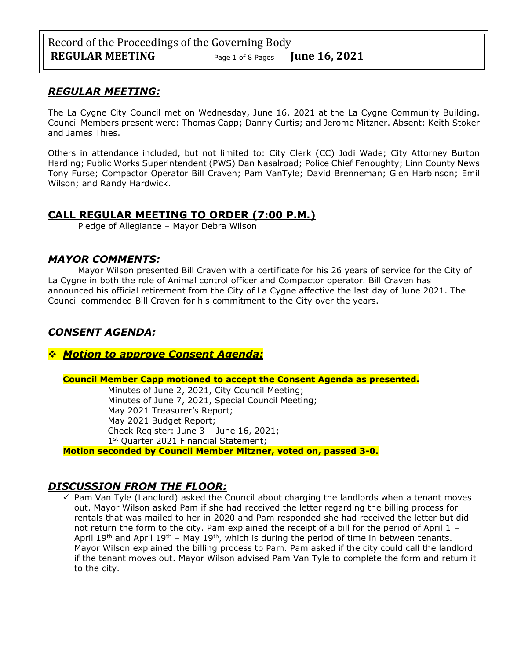# *REGULAR MEETING:*

The La Cygne City Council met on Wednesday, June 16, 2021 at the La Cygne Community Building. Council Members present were: Thomas Capp; Danny Curtis; and Jerome Mitzner. Absent: Keith Stoker and James Thies.

Others in attendance included, but not limited to: City Clerk (CC) Jodi Wade; City Attorney Burton Harding; Public Works Superintendent (PWS) Dan Nasalroad; Police Chief Fenoughty; Linn County News Tony Furse; Compactor Operator Bill Craven; Pam VanTyle; David Brenneman; Glen Harbinson; Emil Wilson; and Randy Hardwick.

# **CALL REGULAR MEETING TO ORDER (7:00 P.M.)**

Pledge of Allegiance – Mayor Debra Wilson

## *MAYOR COMMENTS:*

Mayor Wilson presented Bill Craven with a certificate for his 26 years of service for the City of La Cygne in both the role of Animal control officer and Compactor operator. Bill Craven has announced his official retirement from the City of La Cygne affective the last day of June 2021. The Council commended Bill Craven for his commitment to the City over the years.

# *CONSENT AGENDA:*

❖ *Motion to approve Consent Agenda:*

### **Council Member Capp motioned to accept the Consent Agenda as presented.**

Minutes of June 2, 2021, City Council Meeting; Minutes of June 7, 2021, Special Council Meeting; May 2021 Treasurer's Report; May 2021 Budget Report; Check Register: June 3 – June 16, 2021; 1<sup>st</sup> Quarter 2021 Financial Statement;

**Motion seconded by Council Member Mitzner, voted on, passed 3-0.** 

# *DISCUSSION FROM THE FLOOR:*

 $\checkmark$  Pam Van Tyle (Landlord) asked the Council about charging the landlords when a tenant moves out. Mayor Wilson asked Pam if she had received the letter regarding the billing process for rentals that was mailed to her in 2020 and Pam responded she had received the letter but did not return the form to the city. Pam explained the receipt of a bill for the period of April 1 -April 19<sup>th</sup> and April 19<sup>th</sup> – May 19<sup>th</sup>, which is during the period of time in between tenants. Mayor Wilson explained the billing process to Pam. Pam asked if the city could call the landlord if the tenant moves out. Mayor Wilson advised Pam Van Tyle to complete the form and return it to the city.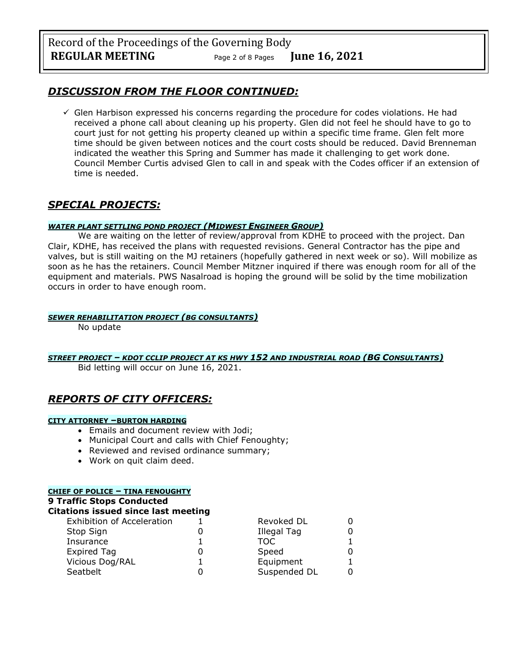# *DISCUSSION FROM THE FLOOR CONTINUED:*

 $\checkmark$  Glen Harbison expressed his concerns regarding the procedure for codes violations. He had received a phone call about cleaning up his property. Glen did not feel he should have to go to court just for not getting his property cleaned up within a specific time frame. Glen felt more time should be given between notices and the court costs should be reduced. David Brenneman indicated the weather this Spring and Summer has made it challenging to get work done. Council Member Curtis advised Glen to call in and speak with the Codes officer if an extension of time is needed.

# *SPECIAL PROJECTS:*

#### *WATER PLANT SETTLING POND PROJECT (MIDWEST ENGINEER GROUP)*

We are waiting on the letter of review/approval from KDHE to proceed with the project. Dan Clair, KDHE, has received the plans with requested revisions. General Contractor has the pipe and valves, but is still waiting on the MJ retainers (hopefully gathered in next week or so). Will mobilize as soon as he has the retainers. Council Member Mitzner inquired if there was enough room for all of the equipment and materials. PWS Nasalroad is hoping the ground will be solid by the time mobilization occurs in order to have enough room.

### *SEWER REHABILITATION PROJECT (BG CONSULTANTS)*

No update

*STREET PROJECT – KDOT CCLIP PROJECT AT KS HWY 152 AND INDUSTRIAL ROAD (BG CONSULTANTS)*

Bid letting will occur on June 16, 2021.

# *REPORTS OF CITY OFFICERS:*

#### **CITY ATTORNEY –BURTON HARDING**

- Emails and document review with Jodi;
- Municipal Court and calls with Chief Fenoughty;
- Reviewed and revised ordinance summary;
- Work on quit claim deed.

#### **CHIEF OF POLICE – TINA FENOUGHTY**

#### **9 Traffic Stops Conducted**

| <b>Citations issued since last meeting</b> |  |              |  |  |
|--------------------------------------------|--|--------------|--|--|
| <b>Exhibition of Acceleration</b>          |  | Revoked DL   |  |  |
| Stop Sign                                  |  | Illegal Tag  |  |  |
| Insurance                                  |  | TOC          |  |  |
| <b>Expired Tag</b>                         |  | Speed        |  |  |
| Vicious Dog/RAL                            |  | Equipment    |  |  |
| Seatbelt                                   |  | Suspended DL |  |  |
|                                            |  |              |  |  |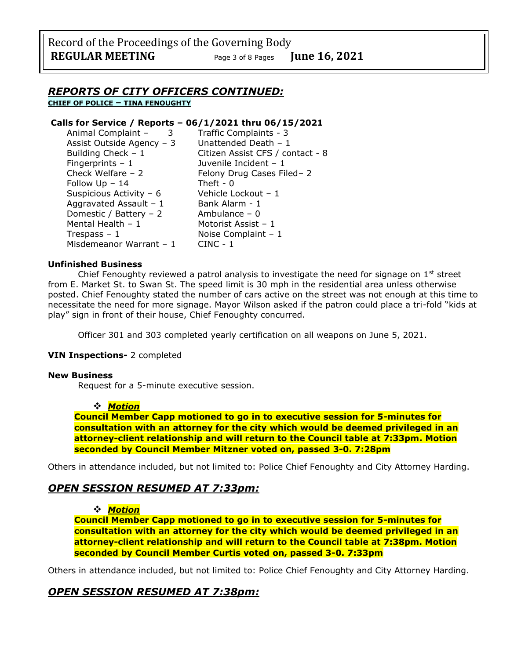Record of the Proceedings of the Governing Body **REGULAR MEETING** Page <sup>3</sup> of 8 Pages **June 16, 2021**

### *REPORTS OF CITY OFFICERS CONTINUED:*

**CHIEF OF POLICE – TINA FENOUGHTY**

#### **Calls for Service / Reports – 06/1/2021 thru 06/15/2021**

| Animal Complaint -<br>3   | Traffic Complaints - 3           |
|---------------------------|----------------------------------|
| Assist Outside Agency - 3 | Unattended Death - 1             |
| Building Check $-1$       | Citizen Assist CFS / contact - 8 |
| Fingerprints $-1$         | Juvenile Incident - 1            |
| Check Welfare - 2         | Felony Drug Cases Filed-2        |
| Follow Up - 14            | Theft - $0$                      |
| Suspicious Activity - 6   | Vehicle Lockout - 1              |
| Aggravated Assault - 1    | Bank Alarm - 1                   |
| Domestic / Battery - 2    | Ambulance $-0$                   |
| Mental Health - 1         | Motorist Assist - 1              |
| Trespass – $1$            | Noise Complaint $-1$             |
| Misdemeanor Warrant - 1   | $CINC - 1$                       |
|                           |                                  |

#### **Unfinished Business**

Chief Fenoughty reviewed a patrol analysis to investigate the need for signage on  $1<sup>st</sup>$  street from E. Market St. to Swan St. The speed limit is 30 mph in the residential area unless otherwise posted. Chief Fenoughty stated the number of cars active on the street was not enough at this time to necessitate the need for more signage. Mayor Wilson asked if the patron could place a tri-fold "kids at play" sign in front of their house, Chief Fenoughty concurred.

Officer 301 and 303 completed yearly certification on all weapons on June 5, 2021.

#### **VIN Inspections-** 2 completed

#### **New Business**

Request for a 5-minute executive session.

#### ❖ *Motion*

**Council Member Capp motioned to go in to executive session for 5-minutes for consultation with an attorney for the city which would be deemed privileged in an attorney-client relationship and will return to the Council table at 7:33pm. Motion seconded by Council Member Mitzner voted on, passed 3-0. 7:28pm** 

Others in attendance included, but not limited to: Police Chief Fenoughty and City Attorney Harding.

### *OPEN SESSION RESUMED AT 7:33pm:*

#### ❖ *Motion*

**Council Member Capp motioned to go in to executive session for 5-minutes for consultation with an attorney for the city which would be deemed privileged in an attorney-client relationship and will return to the Council table at 7:38pm. Motion seconded by Council Member Curtis voted on, passed 3-0. 7:33pm** 

Others in attendance included, but not limited to: Police Chief Fenoughty and City Attorney Harding.

### *OPEN SESSION RESUMED AT 7:38pm:*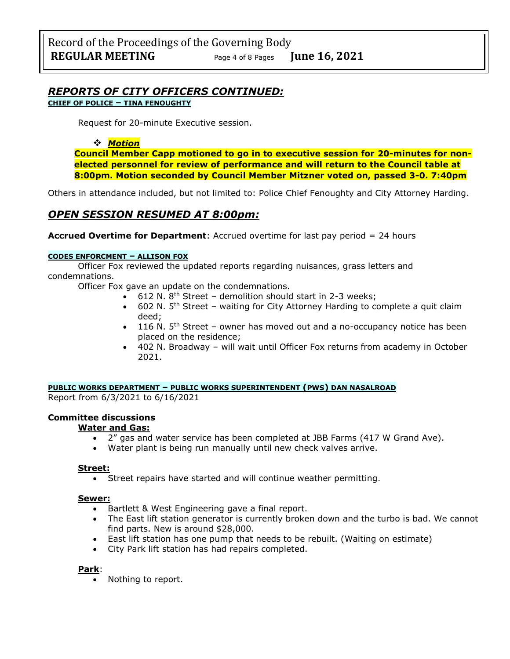# *REPORTS OF CITY OFFICERS CONTINUED:*

**CHIEF OF POLICE – TINA FENOUGHTY**

Request for 20-minute Executive session.

#### ❖ *Motion*

**Council Member Capp motioned to go in to executive session for 20-minutes for nonelected personnel for review of performance and will return to the Council table at 8:00pm. Motion seconded by Council Member Mitzner voted on, passed 3-0. 7:40pm** 

Others in attendance included, but not limited to: Police Chief Fenoughty and City Attorney Harding.

# *OPEN SESSION RESUMED AT 8:00pm:*

**Accrued Overtime for Department**: Accrued overtime for last pay period = 24 hours

#### **CODES ENFORCMENT – ALLISON FOX**

Officer Fox reviewed the updated reports regarding nuisances, grass letters and condemnations.

Officer Fox gave an update on the condemnations.

- $\bullet$  612 N. 8<sup>th</sup> Street demolition should start in 2-3 weeks;
- 602 N.  $5<sup>th</sup>$  Street waiting for City Attorney Harding to complete a quit claim deed;
- 116 N.  $5<sup>th</sup>$  Street owner has moved out and a no-occupancy notice has been placed on the residence;
- 402 N. Broadway will wait until Officer Fox returns from academy in October 2021.

**PUBLIC WORKS DEPARTMENT – PUBLIC WORKS SUPERINTENDENT (PWS) DAN NASALROAD**

Report from 6/3/2021 to 6/16/2021

#### **Committee discussions**

#### **Water and Gas:**

- 2" gas and water service has been completed at JBB Farms (417 W Grand Ave).
- Water plant is being run manually until new check valves arrive.

#### **Street:**

Street repairs have started and will continue weather permitting.

#### **Sewer:**

- Bartlett & West Engineering gave a final report.
- The East lift station generator is currently broken down and the turbo is bad. We cannot find parts. New is around \$28,000.
- East lift station has one pump that needs to be rebuilt. (Waiting on estimate)
- City Park lift station has had repairs completed.

#### **Park**:

• Nothing to report.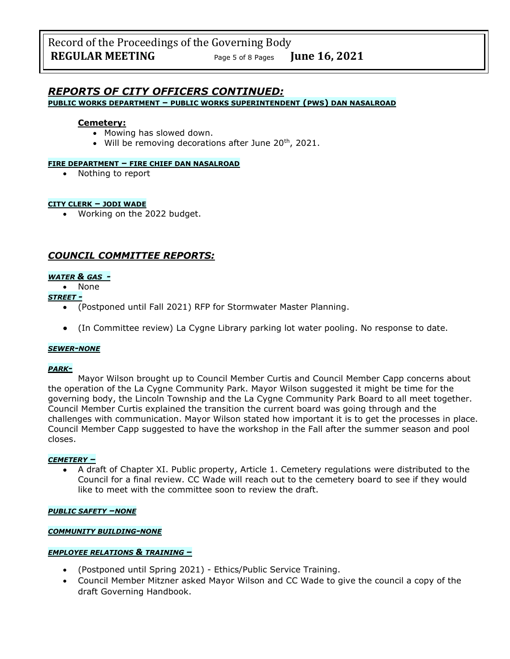# *REPORTS OF CITY OFFICERS CONTINUED:*

**PUBLIC WORKS DEPARTMENT – PUBLIC WORKS SUPERINTENDENT (PWS) DAN NASALROAD**

#### **Cemetery:**

- Mowing has slowed down.
- Will be removing decorations after June  $20<sup>th</sup>$ , 2021.

#### **FIRE DEPARTMENT – FIRE CHIEF DAN NASALROAD**

• Nothing to report

#### **CITY CLERK – JODI WADE**

• Working on the 2022 budget.

## *COUNCIL COMMITTEE REPORTS:*

### *WATER & GAS -*

• None

- *STREET -*
	- (Postponed until Fall 2021) RFP for Stormwater Master Planning.
	- (In Committee review) La Cygne Library parking lot water pooling. No response to date.

#### *SEWER-NONE*

#### *PARK-*

Mayor Wilson brought up to Council Member Curtis and Council Member Capp concerns about the operation of the La Cygne Community Park. Mayor Wilson suggested it might be time for the governing body, the Lincoln Township and the La Cygne Community Park Board to all meet together. Council Member Curtis explained the transition the current board was going through and the challenges with communication. Mayor Wilson stated how important it is to get the processes in place. Council Member Capp suggested to have the workshop in the Fall after the summer season and pool closes.

#### *CEMETERY –*

• A draft of Chapter XI. Public property, Article 1. Cemetery regulations were distributed to the Council for a final review. CC Wade will reach out to the cemetery board to see if they would like to meet with the committee soon to review the draft.

#### *PUBLIC SAFETY –NONE*

#### *COMMUNITY BUILDING-NONE*

#### *EMPLOYEE RELATIONS & TRAINING –*

- (Postponed until Spring 2021) Ethics/Public Service Training.
- Council Member Mitzner asked Mayor Wilson and CC Wade to give the council a copy of the draft Governing Handbook.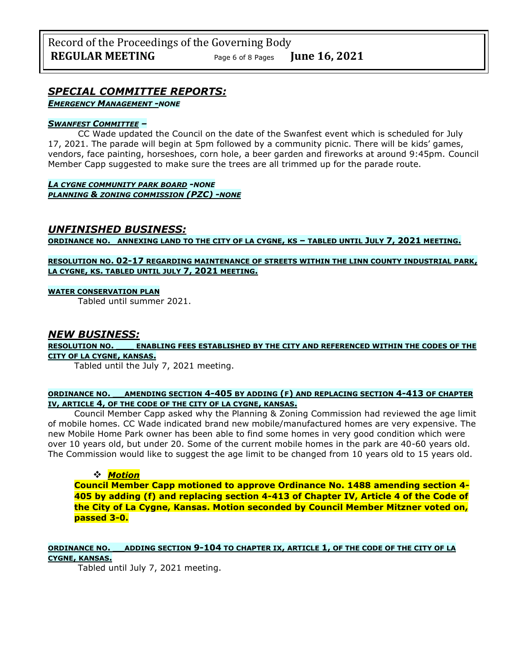# *SPECIAL COMMITTEE REPORTS:*

*EMERGENCY MANAGEMENT -NONE*

#### *SWANFEST COMMITTEE –*

CC Wade updated the Council on the date of the Swanfest event which is scheduled for July 17, 2021. The parade will begin at 5pm followed by a community picnic. There will be kids' games, vendors, face painting, horseshoes, corn hole, a beer garden and fireworks at around 9:45pm. Council Member Capp suggested to make sure the trees are all trimmed up for the parade route.

*LA CYGNE COMMUNITY PARK BOARD -NONE PLANNING & ZONING COMMISSION (PZC) -NONE*

### *UNFINISHED BUSINESS:*

**ORDINANCE NO. ANNEXING LAND TO THE CITY OF LA CYGNE, KS – TABLED UNTIL JULY 7, 2021 MEETING.**

#### **RESOLUTION NO. 02-17 REGARDING MAINTENANCE OF STREETS WITHIN THE LINN COUNTY INDUSTRIAL PARK, LA CYGNE, KS. TABLED UNTIL JULY 7, 2021 MEETING.**

#### **WATER CONSERVATION PLAN**

Tabled until summer 2021.

### *NEW BUSINESS:*

**RESOLUTION NO. \_\_\_ ENABLING FEES ESTABLISHED BY THE CITY AND REFERENCED WITHIN THE CODES OF THE CITY OF LA CYGNE, KANSAS.**

Tabled until the July 7, 2021 meeting.

#### **ORDINANCE NO. \_\_AMENDING SECTION 4-405 BY ADDING (F) AND REPLACING SECTION 4-413 OF CHAPTER IV, ARTICLE 4, OF THE CODE OF THE CITY OF LA CYGNE, KANSAS.**

Council Member Capp asked why the Planning & Zoning Commission had reviewed the age limit of mobile homes. CC Wade indicated brand new mobile/manufactured homes are very expensive. The new Mobile Home Park owner has been able to find some homes in very good condition which were over 10 years old, but under 20. Some of the current mobile homes in the park are 40-60 years old. The Commission would like to suggest the age limit to be changed from 10 years old to 15 years old.

#### ❖ *Motion*

**Council Member Capp motioned to approve Ordinance No. 1488 amending section 4- 405 by adding (f) and replacing section 4-413 of Chapter IV, Article 4 of the Code of the City of La Cygne, Kansas. Motion seconded by Council Member Mitzner voted on, passed 3-0.**

#### **ORDINANCE NO. \_\_ADDING SECTION 9-104 TO CHAPTER IX, ARTICLE 1, OF THE CODE OF THE CITY OF LA CYGNE, KANSAS.**

Tabled until July 7, 2021 meeting.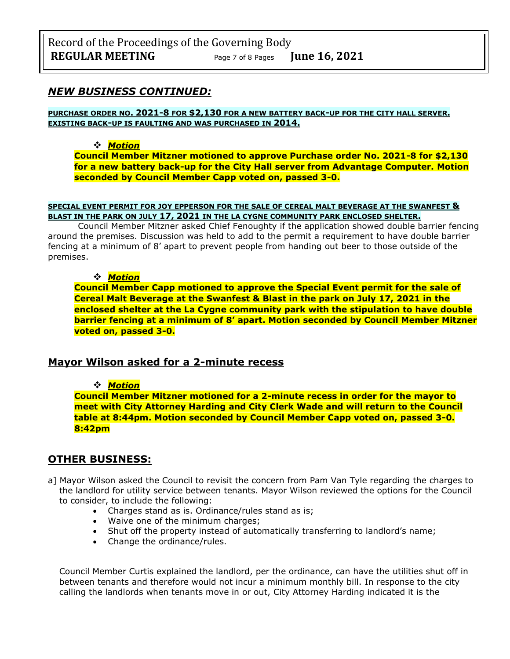## *NEW BUSINESS CONTINUED:*

#### **PURCHASE ORDER NO. 2021-8 FOR \$2,130 FOR A NEW BATTERY BACK-UP FOR THE CITY HALL SERVER. EXISTING BACK-UP IS FAULTING AND WAS PURCHASED IN 2014.**

#### ❖ *Motion*

**Council Member Mitzner motioned to approve Purchase order No. 2021-8 for \$2,130 for a new battery back-up for the City Hall server from Advantage Computer. Motion seconded by Council Member Capp voted on, passed 3-0.**

#### **SPECIAL EVENT PERMIT FOR JOY EPPERSON FOR THE SALE OF CEREAL MALT BEVERAGE AT THE SWANFEST & BLAST IN THE PARK ON JULY 17, 2021 IN THE LA CYGNE COMMUNITY PARK ENCLOSED SHELTER.**

Council Member Mitzner asked Chief Fenoughty if the application showed double barrier fencing around the premises. Discussion was held to add to the permit a requirement to have double barrier fencing at a minimum of 8' apart to prevent people from handing out beer to those outside of the premises.

#### ❖ *Motion*

**Council Member Capp motioned to approve the Special Event permit for the sale of Cereal Malt Beverage at the Swanfest & Blast in the park on July 17, 2021 in the enclosed shelter at the La Cygne community park with the stipulation to have double barrier fencing at a minimum of 8' apart. Motion seconded by Council Member Mitzner voted on, passed 3-0.**

### **Mayor Wilson asked for a 2-minute recess**

#### ❖ *Motion*

**Council Member Mitzner motioned for a 2-minute recess in order for the mayor to meet with City Attorney Harding and City Clerk Wade and will return to the Council table at 8:44pm. Motion seconded by Council Member Capp voted on, passed 3-0. 8:42pm**

### **OTHER BUSINESS:**

- a] Mayor Wilson asked the Council to revisit the concern from Pam Van Tyle regarding the charges to the landlord for utility service between tenants. Mayor Wilson reviewed the options for the Council to consider, to include the following:
	- Charges stand as is. Ordinance/rules stand as is;
	- Waive one of the minimum charges;
	- Shut off the property instead of automatically transferring to landlord's name;
	- Change the ordinance/rules.

Council Member Curtis explained the landlord, per the ordinance, can have the utilities shut off in between tenants and therefore would not incur a minimum monthly bill. In response to the city calling the landlords when tenants move in or out, City Attorney Harding indicated it is the